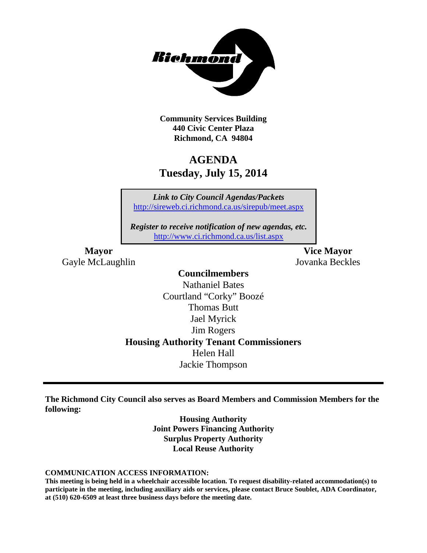

**Community Services Building 440 Civic Center Plaza Richmond, CA 94804**

## **AGENDA Tuesday, July 15, 2014**

*Link to City Council Agendas/Packets* <http://sireweb.ci.richmond.ca.us/sirepub/meet.aspx>

*Register to receive notification of new agendas, etc.* <http://www.ci.richmond.ca.us/list.aspx>

Gayle McLaughlin Jovanka Beckles

**Mayor Vice Mayor**

## **Councilmembers**

Nathaniel Bates Courtland "Corky" Boozé Thomas Butt Jael Myrick Jim Rogers **Housing Authority Tenant Commissioners** Helen Hall Jackie Thompson

**The Richmond City Council also serves as Board Members and Commission Members for the following:**

> **Housing Authority Joint Powers Financing Authority Surplus Property Authority Local Reuse Authority**

#### **COMMUNICATION ACCESS INFORMATION:**

**This meeting is being held in a wheelchair accessible location. To request disability-related accommodation(s) to participate in the meeting, including auxiliary aids or services, please contact Bruce Soublet, ADA Coordinator, at (510) 620-6509 at least three business days before the meeting date.**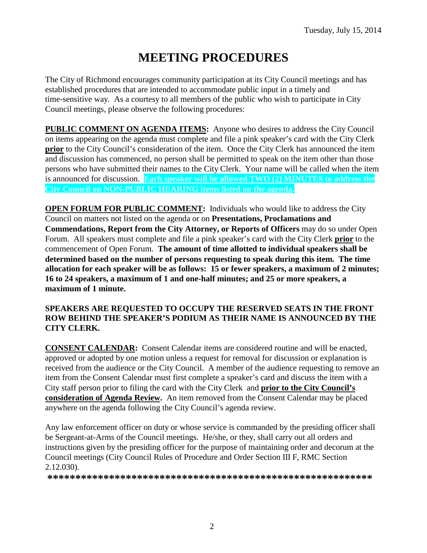# **MEETING PROCEDURES**

The City of Richmond encourages community participation at its City Council meetings and has established procedures that are intended to accommodate public input in a timely and time-sensitive way. As a courtesy to all members of the public who wish to participate in City Council meetings, please observe the following procedures:

**PUBLIC COMMENT ON AGENDA ITEMS:** Anyone who desires to address the City Council on items appearing on the agenda must complete and file a pink speaker's card with the City Clerk **prior** to the City Council's consideration of the item. Once the City Clerk has announced the item and discussion has commenced, no person shall be permitted to speak on the item other than those persons who have submitted their names to the City Clerk. Your name will be called when the item is announced for discussion. **Each speaker will be allowed TWO (2) MINUTES to address the City Council on NON-PUBLIC HEARING items listed on the agenda.**

**OPEN FORUM FOR PUBLIC COMMENT:** Individuals who would like to address the City Council on matters not listed on the agenda or on **Presentations, Proclamations and Commendations, Report from the City Attorney, or Reports of Officers** may do so under Open Forum. All speakers must complete and file a pink speaker's card with the City Clerk **prior** to the commencement of Open Forum. **The amount of time allotted to individual speakers shall be determined based on the number of persons requesting to speak during this item. The time allocation for each speaker will be as follows: 15 or fewer speakers, a maximum of 2 minutes; 16 to 24 speakers, a maximum of 1 and one-half minutes; and 25 or more speakers, a maximum of 1 minute.**

### **SPEAKERS ARE REQUESTED TO OCCUPY THE RESERVED SEATS IN THE FRONT ROW BEHIND THE SPEAKER'S PODIUM AS THEIR NAME IS ANNOUNCED BY THE CITY CLERK.**

**CONSENT CALENDAR:** Consent Calendar items are considered routine and will be enacted, approved or adopted by one motion unless a request for removal for discussion or explanation is received from the audience or the City Council. A member of the audience requesting to remove an item from the Consent Calendar must first complete a speaker's card and discuss the item with a City staff person prior to filing the card with the City Clerk and **prior to the City Council's consideration of Agenda Review.** An item removed from the Consent Calendar may be placed anywhere on the agenda following the City Council's agenda review.

Any law enforcement officer on duty or whose service is commanded by the presiding officer shall be Sergeant-at-Arms of the Council meetings. He/she, or they, shall carry out all orders and instructions given by the presiding officer for the purpose of maintaining order and decorum at the Council meetings (City Council Rules of Procedure and Order Section III F, RMC Section 2.12.030).

**\*\*\*\*\*\*\*\*\*\*\*\*\*\*\*\*\*\*\*\*\*\*\*\*\*\*\*\*\*\*\*\*\*\*\*\*\*\*\*\*\*\*\*\*\*\*\*\*\*\*\*\*\*\*\*\*\*\***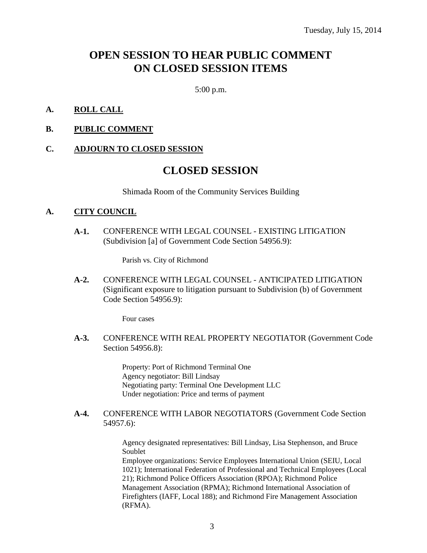## **OPEN SESSION TO HEAR PUBLIC COMMENT ON CLOSED SESSION ITEMS**

5:00 p.m.

### **A. ROLL CALL**

**B. PUBLIC COMMENT**

### **C. ADJOURN TO CLOSED SESSION**

### **CLOSED SESSION**

Shimada Room of the Community Services Building

#### **A. CITY COUNCIL**

**A-1.** CONFERENCE WITH LEGAL COUNSEL - EXISTING LITIGATION (Subdivision [a] of Government Code Section 54956.9):

Parish vs. City of Richmond

**A-2.** CONFERENCE WITH LEGAL COUNSEL - ANTICIPATED LITIGATION (Significant exposure to litigation pursuant to Subdivision (b) of Government Code Section 54956.9):

Four cases

**A-3.** CONFERENCE WITH REAL PROPERTY NEGOTIATOR (Government Code Section 54956.8):

> Property: Port of Richmond Terminal One Agency negotiator: Bill Lindsay Negotiating party: Terminal One Development LLC Under negotiation: Price and terms of payment

**A-4.** CONFERENCE WITH LABOR NEGOTIATORS (Government Code Section 54957.6):

> Agency designated representatives: Bill Lindsay, Lisa Stephenson, and Bruce Soublet

Employee organizations: Service Employees International Union (SEIU, Local 1021); International Federation of Professional and Technical Employees (Local 21); Richmond Police Officers Association (RPOA); Richmond Police Management Association (RPMA); Richmond International Association of Firefighters (IAFF, Local 188); and Richmond Fire Management Association (RFMA).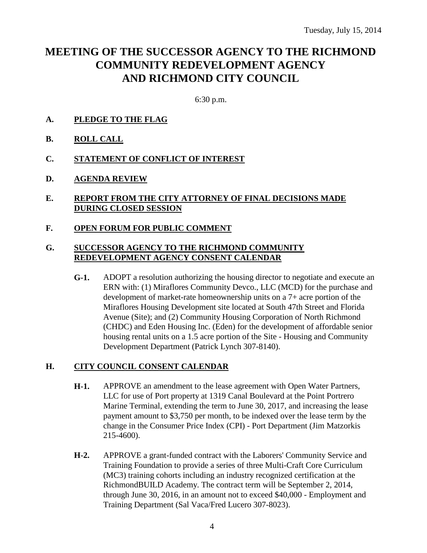## **MEETING OF THE SUCCESSOR AGENCY TO THE RICHMOND COMMUNITY REDEVELOPMENT AGENCY AND RICHMOND CITY COUNCIL**

6:30 p.m.

- **A. PLEDGE TO THE FLAG**
- **B. ROLL CALL**
- **C. STATEMENT OF CONFLICT OF INTEREST**
- **D. AGENDA REVIEW**
- **E. REPORT FROM THE CITY ATTORNEY OF FINAL DECISIONS MADE DURING CLOSED SESSION**
- **F. OPEN FORUM FOR PUBLIC COMMENT**

### **G. SUCCESSOR AGENCY TO THE RICHMOND COMMUNITY REDEVELOPMENT AGENCY CONSENT CALENDAR**

**G-1.** ADOPT a resolution authorizing the housing director to negotiate and execute an ERN with: (1) Miraflores Community Devco., LLC (MCD) for the purchase and development of market-rate homeownership units on a 7+ acre portion of the Miraflores Housing Development site located at South 47th Street and Florida Avenue (Site); and (2) Community Housing Corporation of North Richmond (CHDC) and Eden Housing Inc. (Eden) for the development of affordable senior housing rental units on a 1.5 acre portion of the Site - Housing and Community Development Department (Patrick Lynch 307-8140).

### **H. CITY COUNCIL CONSENT CALENDAR**

- **H-1.** APPROVE an amendment to the lease agreement with Open Water Partners, LLC for use of Port property at 1319 Canal Boulevard at the Point Portrero Marine Terminal, extending the term to June 30, 2017, and increasing the lease payment amount to \$3,750 per month, to be indexed over the lease term by the change in the Consumer Price Index (CPI) - Port Department (Jim Matzorkis 215-4600).
- **H-2.** APPROVE a grant-funded contract with the Laborers' Community Service and Training Foundation to provide a series of three Multi-Craft Core Curriculum (MC3) training cohorts including an industry recognized certification at the RichmondBUILD Academy. The contract term will be September 2, 2014, through June 30, 2016, in an amount not to exceed \$40,000 - Employment and Training Department (Sal Vaca/Fred Lucero 307-8023).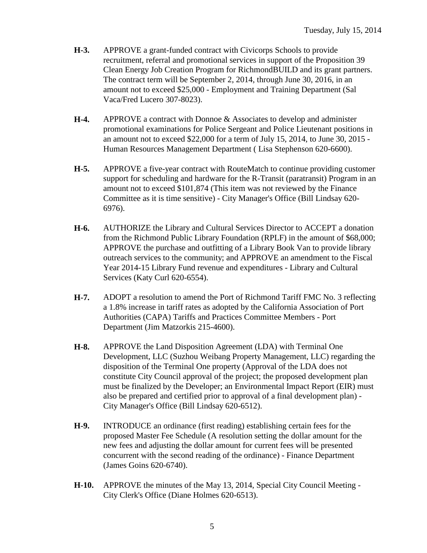- **H-3.** APPROVE a grant-funded contract with Civicorps Schools to provide recruitment, referral and promotional services in support of the Proposition 39 Clean Energy Job Creation Program for RichmondBUILD and its grant partners. The contract term will be September 2, 2014, through June 30, 2016, in an amount not to exceed \$25,000 - Employment and Training Department (Sal Vaca/Fred Lucero 307-8023).
- **H-4.** APPROVE a contract with Donnoe & Associates to develop and administer promotional examinations for Police Sergeant and Police Lieutenant positions in an amount not to exceed \$22,000 for a term of July 15, 2014, to June 30, 2015 - Human Resources Management Department ( Lisa Stephenson 620-6600).
- **H-5.** APPROVE a five-year contract with RouteMatch to continue providing customer support for scheduling and hardware for the R-Transit (paratransit) Program in an amount not to exceed \$101,874 (This item was not reviewed by the Finance Committee as it is time sensitive) - City Manager's Office (Bill Lindsay 620- 6976).
- **H-6.** AUTHORIZE the Library and Cultural Services Director to ACCEPT a donation from the Richmond Public Library Foundation (RPLF) in the amount of \$68,000; APPROVE the purchase and outfitting of a Library Book Van to provide library outreach services to the community; and APPROVE an amendment to the Fiscal Year 2014-15 Library Fund revenue and expenditures - Library and Cultural Services (Katy Curl 620-6554).
- **H-7.** ADOPT a resolution to amend the Port of Richmond Tariff FMC No. 3 reflecting a 1.8% increase in tariff rates as adopted by the California Association of Port Authorities (CAPA) Tariffs and Practices Committee Members - Port Department (Jim Matzorkis 215-4600).
- **H-8.** APPROVE the Land Disposition Agreement (LDA) with Terminal One Development, LLC (Suzhou Weibang Property Management, LLC) regarding the disposition of the Terminal One property (Approval of the LDA does not constitute City Council approval of the project; the proposed development plan must be finalized by the Developer; an Environmental Impact Report (EIR) must also be prepared and certified prior to approval of a final development plan) - City Manager's Office (Bill Lindsay 620-6512).
- **H-9.** INTRODUCE an ordinance (first reading) establishing certain fees for the proposed Master Fee Schedule (A resolution setting the dollar amount for the new fees and adjusting the dollar amount for current fees will be presented concurrent with the second reading of the ordinance) - Finance Department (James Goins 620-6740).
- **H-10.** APPROVE the minutes of the May 13, 2014, Special City Council Meeting City Clerk's Office (Diane Holmes 620-6513).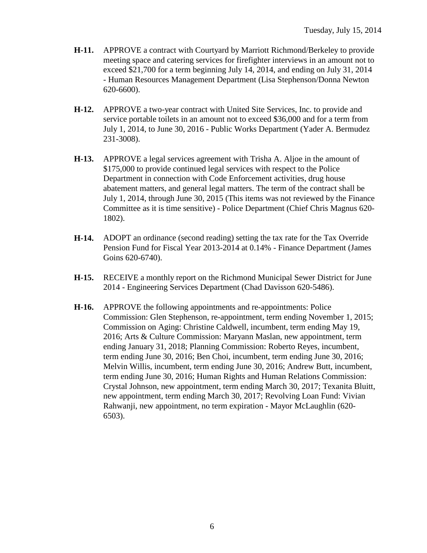- **H-11.** APPROVE a contract with Courtyard by Marriott Richmond/Berkeley to provide meeting space and catering services for firefighter interviews in an amount not to exceed \$21,700 for a term beginning July 14, 2014, and ending on July 31, 2014 - Human Resources Management Department (Lisa Stephenson/Donna Newton 620-6600).
- **H-12.** APPROVE a two-year contract with United Site Services, Inc. to provide and service portable toilets in an amount not to exceed \$36,000 and for a term from July 1, 2014, to June 30, 2016 - Public Works Department (Yader A. Bermudez 231-3008).
- **H-13.** APPROVE a legal services agreement with Trisha A. Aljoe in the amount of \$175,000 to provide continued legal services with respect to the Police Department in connection with Code Enforcement activities, drug house abatement matters, and general legal matters. The term of the contract shall be July 1, 2014, through June 30, 2015 (This items was not reviewed by the Finance Committee as it is time sensitive) - Police Department (Chief Chris Magnus 620- 1802).
- **H-14.** ADOPT an ordinance (second reading) setting the tax rate for the Tax Override Pension Fund for Fiscal Year 2013-2014 at 0.14% - Finance Department (James Goins 620-6740).
- **H-15.** RECEIVE a monthly report on the Richmond Municipal Sewer District for June 2014 - Engineering Services Department (Chad Davisson 620-5486).
- **H-16.** APPROVE the following appointments and re-appointments: Police Commission: Glen Stephenson, re-appointment, term ending November 1, 2015; Commission on Aging: Christine Caldwell, incumbent, term ending May 19, 2016; Arts & Culture Commission: Maryann Maslan, new appointment, term ending January 31, 2018; Planning Commission: Roberto Reyes, incumbent, term ending June 30, 2016; Ben Choi, incumbent, term ending June 30, 2016; Melvin Willis, incumbent, term ending June 30, 2016; Andrew Butt, incumbent, term ending June 30, 2016; Human Rights and Human Relations Commission: Crystal Johnson, new appointment, term ending March 30, 2017; Texanita Bluitt, new appointment, term ending March 30, 2017; Revolving Loan Fund: Vivian Rahwanji, new appointment, no term expiration - Mayor McLaughlin (620- 6503).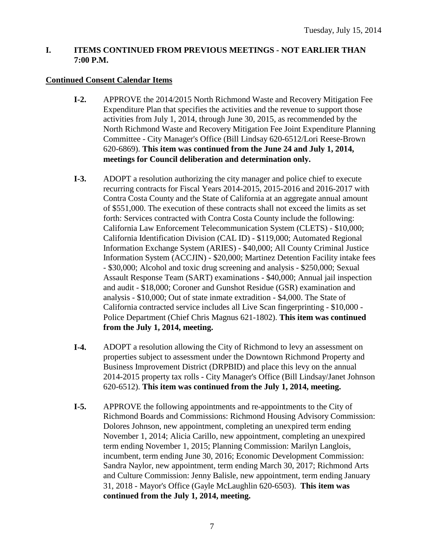### **I. ITEMS CONTINUED FROM PREVIOUS MEETINGS - NOT EARLIER THAN 7:00 P.M.**

### **Continued Consent Calendar Items**

- **I-2.** APPROVE the 2014/2015 North Richmond Waste and Recovery Mitigation Fee Expenditure Plan that specifies the activities and the revenue to support those activities from July 1, 2014, through June 30, 2015, as recommended by the North Richmond Waste and Recovery Mitigation Fee Joint Expenditure Planning Committee - City Manager's Office (Bill Lindsay 620-6512/Lori Reese-Brown 620-6869). **This item was continued from the June 24 and July 1, 2014, meetings for Council deliberation and determination only.**
- **I-3.** ADOPT a resolution authorizing the city manager and police chief to execute recurring contracts for Fiscal Years 2014-2015, 2015-2016 and 2016-2017 with Contra Costa County and the State of California at an aggregate annual amount of \$551,000. The execution of these contracts shall not exceed the limits as set forth: Services contracted with Contra Costa County include the following: California Law Enforcement Telecommunication System (CLETS) - \$10,000; California Identification Division (CAL ID) - \$119,000; Automated Regional Information Exchange System (ARIES) - \$40,000; All County Criminal Justice Information System (ACCJIN) - \$20,000; Martinez Detention Facility intake fees - \$30,000; Alcohol and toxic drug screening and analysis - \$250,000; Sexual Assault Response Team (SART) examinations - \$40,000; Annual jail inspection and audit - \$18,000; Coroner and Gunshot Residue (GSR) examination and analysis - \$10,000; Out of state inmate extradition - \$4,000. The State of California contracted service includes all Live Scan fingerprinting - \$10,000 - Police Department (Chief Chris Magnus 621-1802). **This item was continued from the July 1, 2014, meeting.**
- **I-4.** ADOPT a resolution allowing the City of Richmond to levy an assessment on properties subject to assessment under the Downtown Richmond Property and Business Improvement District (DRPBID) and place this levy on the annual 2014-2015 property tax rolls - City Manager's Office (Bill Lindsay/Janet Johnson 620-6512). **This item was continued from the July 1, 2014, meeting.**
- **I-5.** APPROVE the following appointments and re-appointments to the City of Richmond Boards and Commissions: Richmond Housing Advisory Commission: Dolores Johnson, new appointment, completing an unexpired term ending November 1, 2014; Alicia Carillo, new appointment, completing an unexpired term ending November 1, 2015; Planning Commission: Marilyn Langlois, incumbent, term ending June 30, 2016; Economic Development Commission: Sandra Naylor, new appointment, term ending March 30, 2017; Richmond Arts and Culture Commission: Jenny Balisle, new appointment, term ending January 31, 2018 - Mayor's Office (Gayle McLaughlin 620-6503). **This item was continued from the July 1, 2014, meeting.**